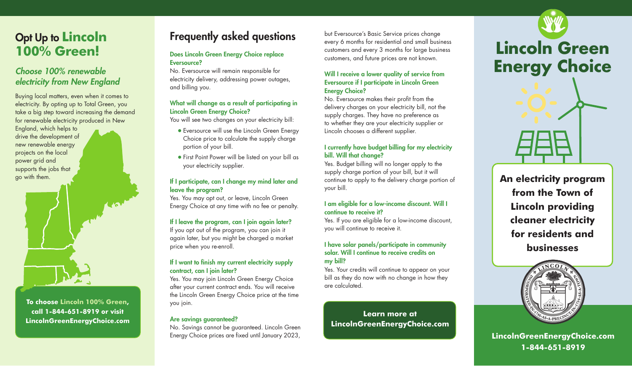## Opt Up to **Lincoln 100% Green!**

### *Choose 100% renewable electricity from New England*

Buying local matters, even when it comes to electricity. By opting up to Total Green, you take a big step toward increasing the demand for renewable electricity produced in New

England, which helps to drive the development of new renewable energy projects on the local power grid and supports the jobs that go with them.



**To choose Lincoln 100% Green, call 1-844-651-8919 or visit LincolnGreenEnergyChoice.com**

## Frequently asked questions

#### Does Lincoln Green Energy Choice replace Eversource?

No. Eversource will remain responsible for electricity delivery, addressing power outages, and billing you.

#### What will change as a result of participating in Lincoln Green Energy Choice?

You will see two changes on your electricity bill:

- Eversource will use the Lincoln Green Energy Choice price to calculate the supply charge portion of your bill.
- First Point Power will be listed on your bill as your electricity supplier.

#### If I participate, can I change my mind later and leave the program?

Yes. You may opt out, or leave, Lincoln Green Energy Choice at any time with no fee or penalty.

#### If I leave the program, can I join again later?

If you opt out of the program, you can join it again later, but you might be charged a market price when you re-enroll.

#### If I want to finish my current electricity supply contract, can I join later?

Yes. You may join Lincoln Green Energy Choice after your current contract ends. You will receive the Lincoln Green Energy Choice price at the time you join.

#### Are savings guaranteed?

No. Savings cannot be guaranteed. Lincoln Green Energy Choice prices are fixed until January 2023,

but Eversource's Basic Service prices change every 6 months for residential and small business customers and every 3 months for large business customers, and future prices are not known.

#### Will I receive a lower quality of service from Eversource if I participate in Lincoln Green **Energy Choice?**

No. Eversource makes their profit from the delivery charges on your electricity bill, not the supply charges. They have no preference as to whether they are your electricity supplier or Lincoln chooses a different supplier.

#### I currently have budget billing for my electricity bill. Will that change?

Yes. Budget billing will no longer apply to the supply charge portion of your bill, but it will continue to apply to the delivery charge portion of your bill.

#### I am eligible for a low-income discount. Will I continue to receive it?

Yes. If you are eligible for a low-income discount, you will continue to receive it.

#### I have solar panels/participate in community solar. Will I continue to receive credits on my bill?

Yes. Your credits will continue to appear on your bill as they do now with no change in how they are calculated.

**Learn more at LincolnGreenEnergyChoice.com**



**An electricity program from the Town of Lincoln providing cleaner electricity for residents and businesses** 



**LincolnGreenEnergyChoice.com 1-844-651-8919**